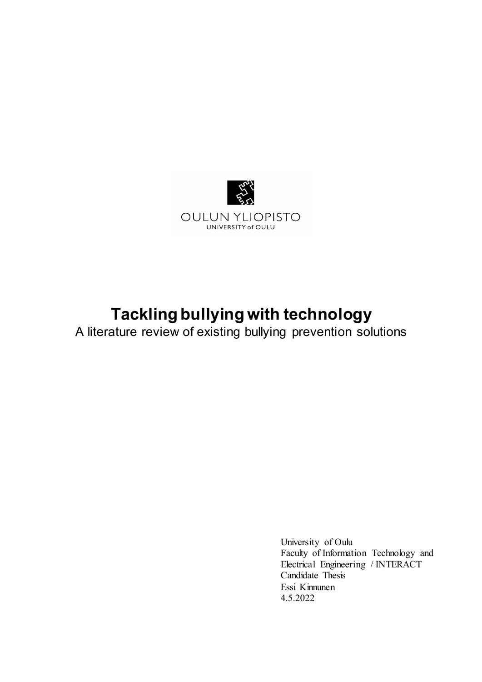

# **Tackling bullying with technology**

A literature review of existing bullying prevention solutions

University of Oulu Faculty of Information Technology and Electrical Engineering / INTERACT Candidate Thesis Essi Kinnunen 4.5.2022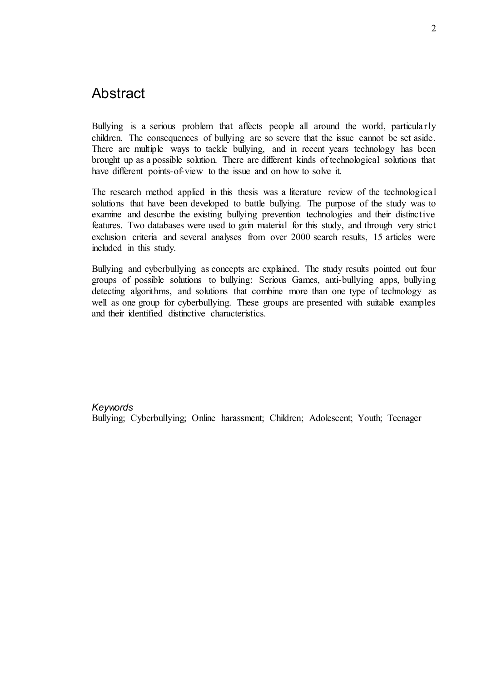## Abstract

Bullying is a serious problem that affects people all around the world, particularly children. The consequences of bullying are so severe that the issue cannot be set aside. There are multiple ways to tackle bullying, and in recent years technology has been brought up as a possible solution. There are different kinds of technological solutions that have different points-of-view to the issue and on how to solve it.

The research method applied in this thesis was a literature review of the technological solutions that have been developed to battle bullying. The purpose of the study was to examine and describe the existing bullying prevention technologies and their distinctive features. Two databases were used to gain material for this study, and through very strict exclusion criteria and several analyses from over 2000 search results, 15 articles were included in this study.

Bullying and cyberbullying as concepts are explained. The study results pointed out four groups of possible solutions to bullying: Serious Games, anti-bullying apps, bullying detecting algorithms, and solutions that combine more than one type of technology as well as one group for cyberbullying. These groups are presented with suitable examples and their identified distinctive characteristics.

#### *Keywords*

Bullying; Cyberbullying; Online harassment; Children; Adolescent; Youth; Teenager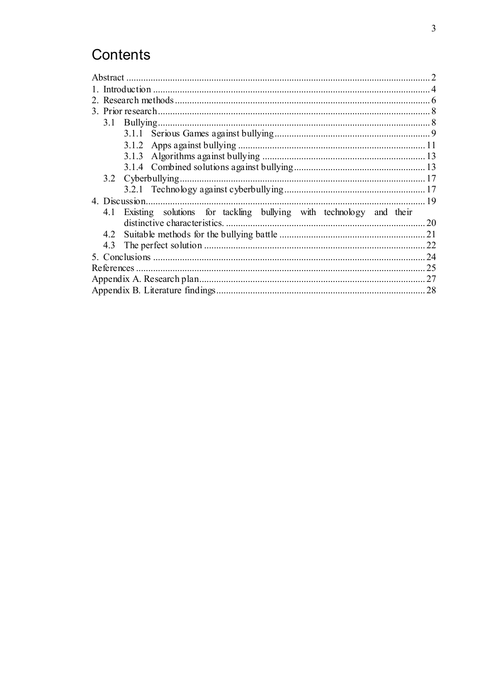## Contents

| 4.1 Existing solutions for tackling bullying with technology and their |  |
|------------------------------------------------------------------------|--|
|                                                                        |  |
|                                                                        |  |
| 4.3                                                                    |  |
|                                                                        |  |
|                                                                        |  |
|                                                                        |  |
|                                                                        |  |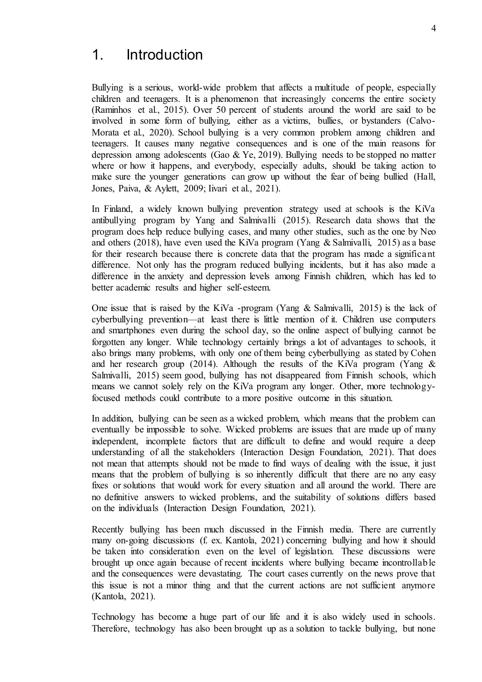## 1. Introduction

Bullying is a serious, world-wide problem that affects a multitude of people, especially children and teenagers. It is a phenomenon that increasingly concerns the entire society (Raminhos et al., 2015). Over 50 percent of students around the world are said to be involved in some form of bullying, either as a victims, bullies, or bystanders (Calvo-Morata et al., 2020). School bullying is a very common problem among children and teenagers. It causes many negative consequences and is one of the main reasons for depression among adolescents (Gao & Ye, 2019). Bullying needs to be stopped no matter where or how it happens, and everybody, especially adults, should be taking action to make sure the younger generations can grow up without the fear of being bullied (Hall, Jones, Paiva, & Aylett, 2009; Iivari et al., 2021).

In Finland, a widely known bullying prevention strategy used at schools is the KiVa antibullying program by Yang and Salmivalli (2015). Research data shows that the program does help reduce bullying cases, and many other studies, such as the one by Neo and others (2018), have even used the KiVa program (Yang & Salmivalli, 2015) as a base for their research because there is concrete data that the program has made a significant difference. Not only has the program reduced bullying incidents, but it has also made a difference in the anxiety and depression levels among Finnish children, which has led to better academic results and higher self-esteem.

One issue that is raised by the KiVa -program (Yang & Salmivalli, 2015) is the lack of cyberbullying prevention—at least there is little mention of it. Children use computers and smartphones even during the school day, so the online aspect of bullying cannot be forgotten any longer. While technology certainly brings a lot of advantages to schools, it also brings many problems, with only one of them being cyberbullying as stated by Cohen and her research group (2014). Although the results of the KiVa program (Yang & Salmivalli, 2015) seem good, bullying has not disappeared from Finnish schools, which means we cannot solely rely on the KiVa program any longer. Other, more technologyfocused methods could contribute to a more positive outcome in this situation.

In addition, bullying can be seen as a wicked problem, which means that the problem can eventually be impossible to solve. Wicked problems are issues that are made up of many independent, incomplete factors that are difficult to define and would require a deep understanding of all the stakeholders (Interaction Design Foundation, 2021). That does not mean that attempts should not be made to find ways of dealing with the issue, it just means that the problem of bullying is so inherently difficult that there are no any easy fixes or solutions that would work for every situation and all around the world. There are no definitive answers to wicked problems, and the suitability of solutions differs based on the individuals (Interaction Design Foundation, 2021).

Recently bullying has been much discussed in the Finnish media. There are currently many on-going discussions (f. ex. Kantola, 2021) concerning bullying and how it should be taken into consideration even on the level of legislation. These discussions were brought up once again because of recent incidents where bullying became incontrollable and the consequences were devastating. The court cases currently on the news prove that this issue is not a minor thing and that the current actions are not sufficient anymore (Kantola, 2021).

Technology has become a huge part of our life and it is also widely used in schools. Therefore, technology has also been brought up as a solution to tackle bullying, but none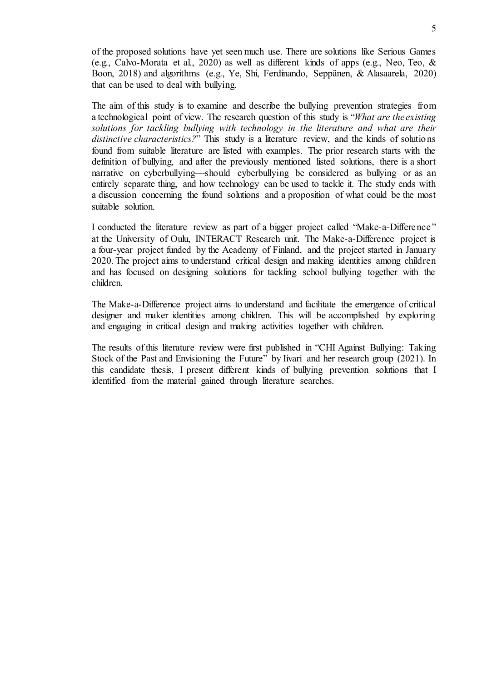of the proposed solutions have yet seen much use. There are solutions like Serious Games (e.g., Calvo-Morata et al., 2020) as well as different kinds of apps (e.g., Neo, Teo, & Boon, 2018) and algorithms (e.g., Ye, Shi, Ferdinando, Seppänen, & Alasaarela, 2020) that can be used to deal with bullying.

The aim of this study is to examine and describe the bullying prevention strategies from a technological point of view. The research question of this study is "*What are the existing solutions for tackling bullying with technology in the literature and what are their distinctive characteristics?*" This study is a literature review, and the kinds of solutions found from suitable literature are listed with examples. The prior research starts with the definition of bullying, and after the previously mentioned listed solutions, there is a short narrative on cyberbullying—should cyberbullying be considered as bullying or as an entirely separate thing, and how technology can be used to tackle it. The study ends with a discussion concerning the found solutions and a proposition of what could be the most suitable solution.

I conducted the literature review as part of a bigger project called "Make-a-Difference" at the University of Oulu, INTERACT Research unit. The Make-a-Difference project is a four-year project funded by the Academy of Finland, and the project started in January 2020. The project aims to understand critical design and making identities among children and has focused on designing solutions for tackling school bullying together with the children.

The Make-a-Difference project aims to understand and facilitate the emergence of critical designer and maker identities among children. This will be accomplished by exploring and engaging in critical design and making activities together with children.

The results of this literature review were first published in "CHI Against Bullying: Taking Stock of the Past and Envisioning the Future" by Iivari and her research group (2021). In this candidate thesis, I present different kinds of bullying prevention solutions that I identified from the material gained through literature searches.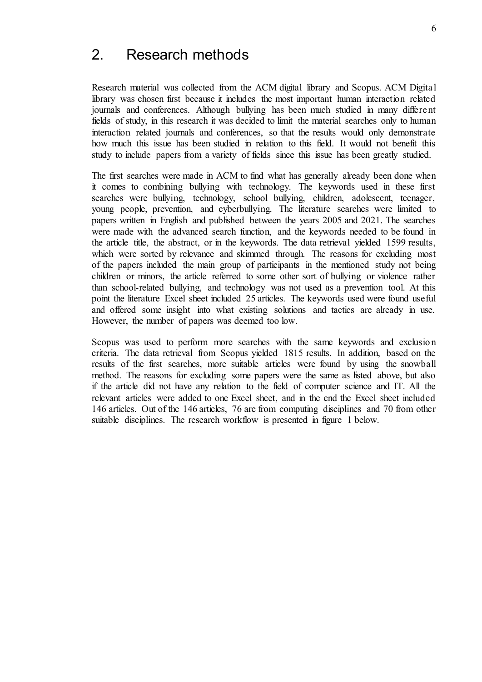## 2. Research methods

Research material was collected from the ACM digital library and Scopus. ACM Digital library was chosen first because it includes the most important human interaction related journals and conferences. Although bullying has been much studied in many different fields of study, in this research it was decided to limit the material searches only to human interaction related journals and conferences, so that the results would only demonstrate how much this issue has been studied in relation to this field. It would not benefit this study to include papers from a variety of fields since this issue has been greatly studied.

The first searches were made in ACM to find what has generally already been done when it comes to combining bullying with technology. The keywords used in these first searches were bullying, technology, school bullying, children, adolescent, teenager, young people, prevention, and cyberbullying. The literature searches were limited to papers written in English and published between the years 2005 and 2021. The searches were made with the advanced search function, and the keywords needed to be found in the article title, the abstract, or in the keywords. The data retrieval yielded 1599 results, which were sorted by relevance and skimmed through. The reasons for excluding most of the papers included the main group of participants in the mentioned study not being children or minors, the article referred to some other sort of bullying or violence rather than school-related bullying, and technology was not used as a prevention tool. At this point the literature Excel sheet included 25 articles. The keywords used were found useful and offered some insight into what existing solutions and tactics are already in use. However, the number of papers was deemed too low.

Scopus was used to perform more searches with the same keywords and exclusion criteria. The data retrieval from Scopus yielded 1815 results. In addition, based on the results of the first searches, more suitable articles were found by using the snowball method. The reasons for excluding some papers were the same as listed above, but also if the article did not have any relation to the field of computer science and IT. All the relevant articles were added to one Excel sheet, and in the end the Excel sheet included 146 articles. Out of the 146 articles, 76 are from computing disciplines and 70 from other suitable disciplines. The research workflow is presented in figure 1 below.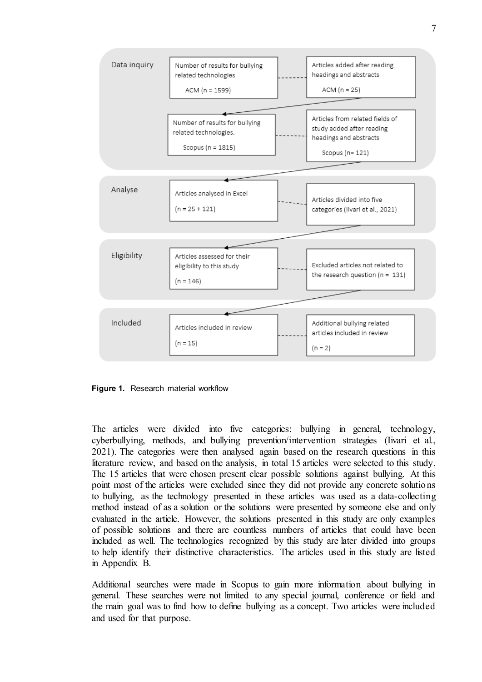

**Figure 1.** Research material workflow

The articles were divided into five categories: bullying in general, technology, cyberbullying, methods, and bullying prevention/intervention strategies (Iivari et al., 2021). The categories were then analysed again based on the research questions in this literature review, and based on the analysis, in total 15 articles were selected to this study. The 15 articles that were chosen present clear possible solutions against bullying. At this point most of the articles were excluded since they did not provide any concrete solutions to bullying, as the technology presented in these articles was used as a data-collecting method instead of as a solution or the solutions were presented by someone else and only evaluated in the article. However, the solutions presented in this study are only examples of possible solutions and there are countless numbers of articles that could have been included as well. The technologies recognized by this study are later divided into groups to help identify their distinctive characteristics. The articles used in this study are listed in Appendix B.

Additional searches were made in Scopus to gain more information about bullying in general. These searches were not limited to any special journal, conference or field and the main goal was to find how to define bullying as a concept. Two articles were included and used for that purpose.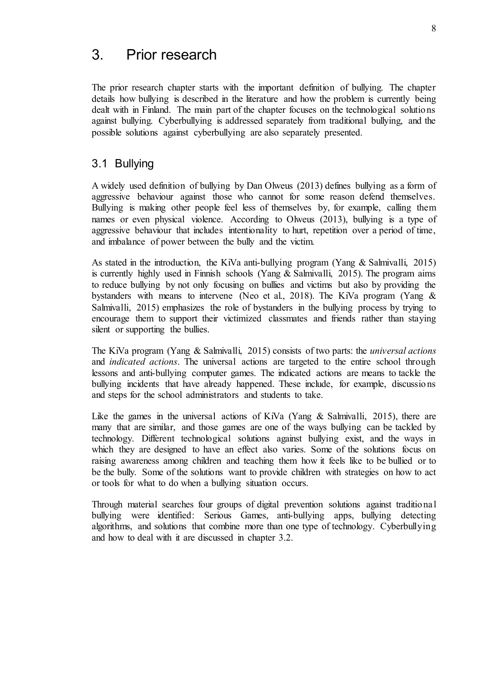## 3. Prior research

The prior research chapter starts with the important definition of bullying. The chapter details how bullying is described in the literature and how the problem is currently being dealt with in Finland. The main part of the chapter focuses on the technological solutions against bullying. Cyberbullying is addressed separately from traditional bullying, and the possible solutions against cyberbullying are also separately presented.

#### 3.1 Bullying

A widely used definition of bullying by Dan Olweus (2013) defines bullying as a form of aggressive behaviour against those who cannot for some reason defend themselves. Bullying is making other people feel less of themselves by, for example, calling them names or even physical violence. According to Olweus (2013), bullying is a type of aggressive behaviour that includes intentionality to hurt, repetition over a period of time, and imbalance of power between the bully and the victim.

As stated in the introduction, the KiVa anti-bullying program (Yang & Salmivalli, 2015) is currently highly used in Finnish schools (Yang & Salmivalli, 2015). The program aims to reduce bullying by not only focusing on bullies and victims but also by providing the bystanders with means to intervene (Neo et al., 2018). The KiVa program (Yang & Salmivalli, 2015) emphasizes the role of bystanders in the bullying process by trying to encourage them to support their victimized classmates and friends rather than staying silent or supporting the bullies.

The KiVa program (Yang & Salmivalli, 2015) consists of two parts: the *universal actions* and *indicated actions*. The universal actions are targeted to the entire school through lessons and anti-bullying computer games. The indicated actions are means to tackle the bullying incidents that have already happened. These include, for example, discussions and steps for the school administrators and students to take.

Like the games in the universal actions of KiVa (Yang & Salmivalli, 2015), there are many that are similar, and those games are one of the ways bullying can be tackled by technology. Different technological solutions against bullying exist, and the ways in which they are designed to have an effect also varies. Some of the solutions focus on raising awareness among children and teaching them how it feels like to be bullied or to be the bully. Some of the solutions want to provide children with strategies on how to act or tools for what to do when a bullying situation occurs.

Through material searches four groups of digital prevention solutions against traditional bullying were identified: Serious Games, anti-bullying apps, bullying detecting algorithms, and solutions that combine more than one type of technology. Cyberbullying and how to deal with it are discussed in chapter 3.2.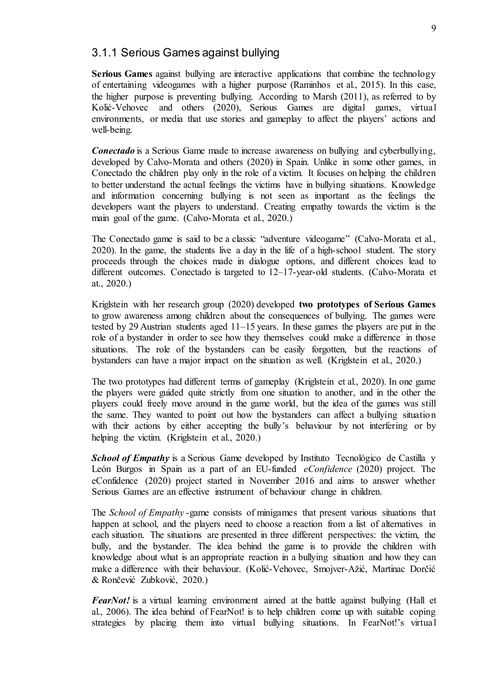#### 3.1.1 Serious Games against bullying

**Serious Games** against bullying are interactive applications that combine the technology of entertaining videogames with a higher purpose (Raminhos et al., 2015). In this case, the higher purpose is preventing bullying. According to Marsh (2011), as referred to by Kolić-Vehovec and others (2020), Serious Games are digital games, virtual environments, or media that use stories and gameplay to affect the players' actions and well-being.

*Conectado* is a Serious Game made to increase awareness on bullying and cyberbullying, developed by Calvo-Morata and others (2020) in Spain. Unlike in some other games, in Conectado the children play only in the role of a victim. It focuses on helping the children to better understand the actual feelings the victims have in bullying situations. Knowledge and information concerning bullying is not seen as important as the feelings the developers want the players to understand. Creating empathy towards the victim is the main goal of the game. (Calvo-Morata et al., 2020.)

The Conectado game is said to be a classic "adventure videogame" (Calvo-Morata et al., 2020). In the game, the students live a day in the life of a high-school student. The story proceeds through the choices made in dialogue options, and different choices lead to different outcomes. Conectado is targeted to 12–17-year-old students. (Calvo-Morata et at., 2020.)

Kriglstein with her research group (2020) developed **two prototypes of Serious Games** to grow awareness among children about the consequences of bullying. The games were tested by 29 Austrian students aged 11–15 years. In these games the players are put in the role of a bystander in order to see how they themselves could make a difference in those situations. The role of the bystanders can be easily forgotten, but the reactions of bystanders can have a major impact on the situation as well. (Kriglstein et al., 2020.)

The two prototypes had different terms of gameplay (Kriglstein et al., 2020). In one game the players were guided quite strictly from one situation to another, and in the other the players could freely move around in the game world, but the idea of the games was still the same. They wanted to point out how the bystanders can affect a bullying situation with their actions by either accepting the bully's behaviour by not interfering or by helping the victim. (Kriglstein et al., 2020.)

*School of Empathy* is a Serious Game developed by Instituto Tecnológico de Castilla y León Burgos in Spain as a part of an EU-funded *eConfidence* (2020) project. The eConfidence (2020) project started in November 2016 and aims to answer whether Serious Games are an effective instrument of behaviour change in children.

The *School of Empathy* -game consists of minigames that present various situations that happen at school, and the players need to choose a reaction from a list of alternatives in each situation. The situations are presented in three different perspectives: the victim, the bully, and the bystander. The idea behind the game is to provide the children with knowledge about what is an appropriate reaction in a bullying situation and how they can make a difference with their behaviour. (Kolić-Vehovec, Smojver-Ažić, Martinac Dorčić & Rončević Zubković, 2020.)

*FearNot!* is a virtual learning environment aimed at the battle against bullying (Hall et al., 2006). The idea behind of FearNot! is to help children come up with suitable coping strategies by placing them into virtual bullying situations. In FearNot!'s virtual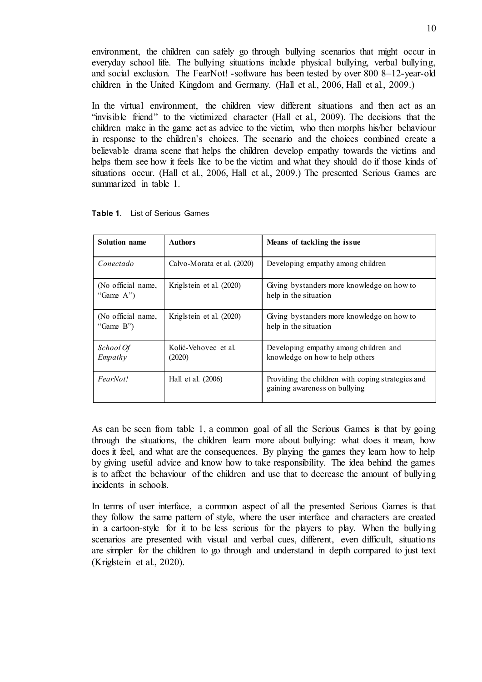environment, the children can safely go through bullying scenarios that might occur in everyday school life. The bullying situations include physical bullying, verbal bullying, and social exclusion. The FearNot! -software has been tested by over 800 8–12-year-old children in the United Kingdom and Germany. (Hall et al., 2006, Hall et al., 2009.)

In the virtual environment, the children view different situations and then act as an "invisible friend" to the victimized character (Hall et al., 2009). The decisions that the children make in the game act as advice to the victim, who then morphs his/her behaviour in response to the children's choices. The scenario and the choices combined create a believable drama scene that helps the children develop empathy towards the victims and helps them see how it feels like to be the victim and what they should do if those kinds of situations occur. (Hall et al., 2006, Hall et al., 2009.) The presented Serious Games are summarized in table 1.

| <b>Solution name</b>               | <b>Authors</b>                 | Means of tackling the issue.                                                       |
|------------------------------------|--------------------------------|------------------------------------------------------------------------------------|
| Conectado                          | Calvo-Morata et al. (2020)     | Developing empathy among children                                                  |
| (No official name,<br>"Game $A$ ") | Kriglstein et al. (2020)       | Giving bystanders more knowledge on how to<br>help in the situation                |
| (No official name,<br>"Game $B$ ") | Kriglstein et al. (2020)       | Giving bystanders more knowledge on how to<br>help in the situation                |
| School Of<br>Empathy               | Kolić-Vehovec et al.<br>(2020) | Developing empathy among children and<br>knowledge on how to help others           |
| FearNot!                           | Hall et al. (2006)             | Providing the children with coping strategies and<br>gaining awareness on bullying |

|  | Table 1. | List of Serious Games |  |
|--|----------|-----------------------|--|
|--|----------|-----------------------|--|

As can be seen from table 1, a common goal of all the Serious Games is that by going through the situations, the children learn more about bullying: what does it mean, how does it feel, and what are the consequences. By playing the games they learn how to help by giving useful advice and know how to take responsibility. The idea behind the games is to affect the behaviour of the children and use that to decrease the amount of bullying incidents in schools.

In terms of user interface, a common aspect of all the presented Serious Games is that they follow the same pattern of style, where the user interface and characters are created in a cartoon-style for it to be less serious for the players to play. When the bullying scenarios are presented with visual and verbal cues, different, even difficult, situations are simpler for the children to go through and understand in depth compared to just text (Kriglstein et al., 2020).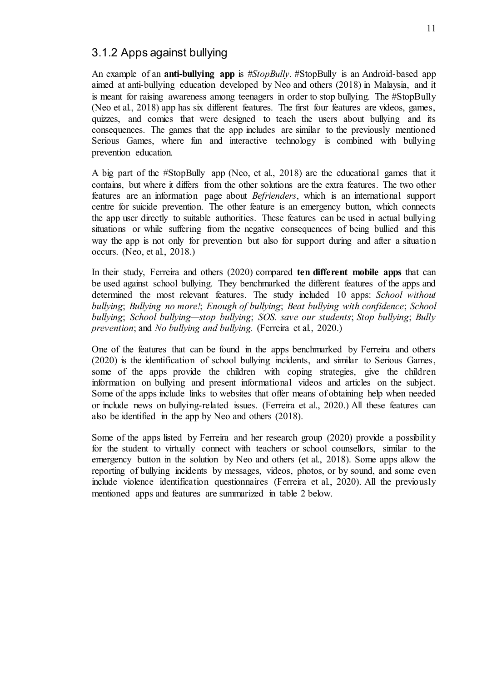### 3.1.2 Apps against bullying

An example of an **anti-bullying app** is *#StopBully*. #StopBully is an Android-based app aimed at anti-bullying education developed by Neo and others (2018) in Malaysia, and it is meant for raising awareness among teenagers in order to stop bullying. The #StopBully (Neo et al., 2018) app has six different features. The first four features are videos, games, quizzes, and comics that were designed to teach the users about bullying and its consequences. The games that the app includes are similar to the previously mentioned Serious Games, where fun and interactive technology is combined with bullying prevention education.

A big part of the #StopBully app (Neo, et al., 2018) are the educational games that it contains, but where it differs from the other solutions are the extra features. The two other features are an information page about *Befrienders*, which is an international support centre for suicide prevention. The other feature is an emergency button, which connects the app user directly to suitable authorities. These features can be used in actual bullying situations or while suffering from the negative consequences of being bullied and this way the app is not only for prevention but also for support during and after a situation occurs. (Neo, et al., 2018.)

In their study, Ferreira and others (2020) compared **ten different mobile apps** that can be used against school bullying. They benchmarked the different features of the apps and determined the most relevant features. The study included 10 apps: *School without bullying*; *Bullying no more!*; *Enough of bullying*; *Beat bullying with confidence*; *School bullying*; *School bullying—stop bullying*; *SOS. save our students*; *Stop bullying*; *Bully prevention*; and *No bullying and bullying.* (Ferreira et al., 2020.)

One of the features that can be found in the apps benchmarked by Ferreira and others (2020) is the identification of school bullying incidents, and similar to Serious Games, some of the apps provide the children with coping strategies, give the children information on bullying and present informational videos and articles on the subject. Some of the apps include links to websites that offer means of obtaining help when needed or include news on bullying-related issues. (Ferreira et al., 2020.) All these features can also be identified in the app by Neo and others (2018).

Some of the apps listed by Ferreira and her research group (2020) provide a possibility for the student to virtually connect with teachers or school counsellors, similar to the emergency button in the solution by Neo and others (et al., 2018). Some apps allow the reporting of bullying incidents by messages, videos, photos, or by sound, and some even include violence identification questionnaires (Ferreira et al., 2020). All the previously mentioned apps and features are summarized in table 2 below.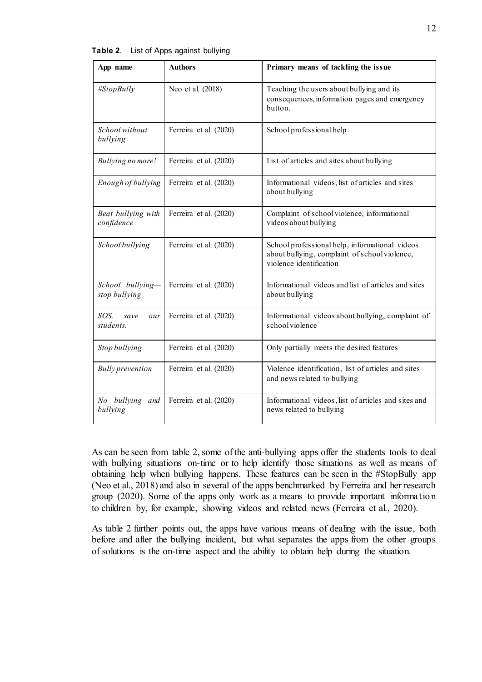| App name                          | <b>Authors</b>         | Primary means of tackling the issue                                                                                        |  |
|-----------------------------------|------------------------|----------------------------------------------------------------------------------------------------------------------------|--|
| #StopBully                        | Neo et al. (2018)      | Teaching the users about bullying and its<br>consequences, information pages and emergency<br>button.                      |  |
| School without<br>bullying        | Ferreira et al. (2020) | School professional help                                                                                                   |  |
| <b>Bullying no more!</b>          | Ferreira et al. (2020) | List of articles and sites about bullying                                                                                  |  |
| Enough of bullying                | Ferreira et al. (2020) | Informational videos, list of articles and sites<br>about bullying                                                         |  |
| Beat bullying with<br>confidence  | Ferreira et al. (2020) | Complaint of school violence, informational<br>videos about bullying                                                       |  |
| School bullying                   | Ferreira et al. (2020) | School professional help, informational videos<br>about bullying, complaint of school violence,<br>violence identification |  |
| School bullying-<br>stop bullying | Ferreira et al. (2020) | Informational videos and list of articles and sites<br>about bullying                                                      |  |
| SOS.<br>save<br>our<br>students.  | Ferreira et al. (2020) | Informational videos about bullying, complaint of<br>schoolviolence                                                        |  |
| Stop bullying                     | Ferreira et al. (2020) | Only partially meets the desired features                                                                                  |  |
| <b>Bully</b> prevention           | Ferreira et al. (2020) | Violence identification, list of articles and sites<br>and news related to bullying                                        |  |
| No bullying and<br>bullying       | Ferreira et al. (2020) | Informational videos, list of articles and sites and<br>news related to bullying                                           |  |

**Table 2**. List of Apps against bullying

As can be seen from table 2, some of the anti-bullying apps offer the students tools to deal with bullying situations on-time or to help identify those situations as well as means of obtaining help when bullying happens. These features can be seen in the #StopBully app (Neo et al., 2018) and also in several of the apps benchmarked by Ferreira and her research group (2020). Some of the apps only work as a means to provide important information to children by, for example, showing videos and related news (Ferreira et al., 2020).

As table 2 further points out, the apps have various means of dealing with the issue, both before and after the bullying incident, but what separates the apps from the other groups of solutions is the on-time aspect and the ability to obtain help during the situation.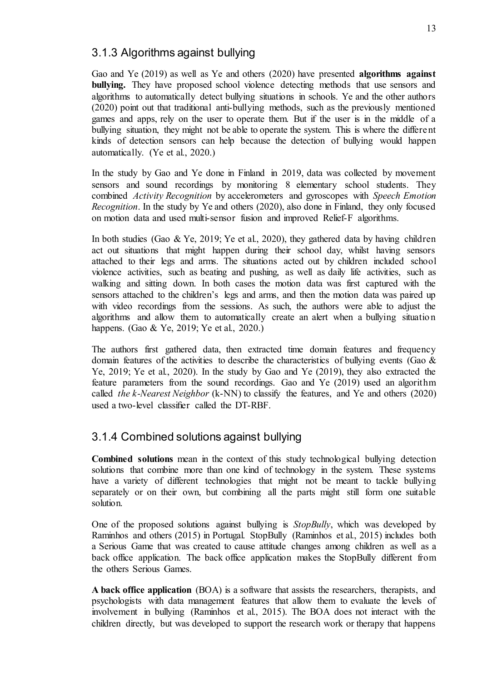### 3.1.3 Algorithms against bullying

Gao and Ye (2019) as well as Ye and others (2020) have presented **algorithms against bullying.** They have proposed school violence detecting methods that use sensors and algorithms to automatically detect bullying situations in schools. Ye and the other authors (2020) point out that traditional anti-bullying methods, such as the previously mentioned games and apps, rely on the user to operate them. But if the user is in the middle of a bullying situation, they might not be able to operate the system. This is where the different kinds of detection sensors can help because the detection of bullying would happen automatically. (Ye et al., 2020.)

In the study by Gao and Ye done in Finland in 2019, data was collected by movement sensors and sound recordings by monitoring 8 elementary school students. They combined *Activity Recognition* by accelerometers and gyroscopes with *Speech Emotion Recognition*. In the study by Ye and others (2020), also done in Finland, they only focused on motion data and used multi-sensor fusion and improved Relief-F algorithms.

In both studies (Gao & Ye, 2019; Ye et al., 2020), they gathered data by having children act out situations that might happen during their school day, whilst having sensors attached to their legs and arms. The situations acted out by children included school violence activities, such as beating and pushing, as well as daily life activities, such as walking and sitting down. In both cases the motion data was first captured with the sensors attached to the children's legs and arms, and then the motion data was paired up with video recordings from the sessions. As such, the authors were able to adjust the algorithms and allow them to automatically create an alert when a bullying situation happens. (Gao & Ye, 2019; Ye et al., 2020.)

The authors first gathered data, then extracted time domain features and frequency domain features of the activities to describe the characteristics of bullying events (Gao  $\&$ Ye, 2019; Ye et al., 2020). In the study by Gao and Ye (2019), they also extracted the feature parameters from the sound recordings. Gao and Ye (2019) used an algorithm called *the k-Nearest Neighbor* (k-NN) to classify the features, and Ye and others (2020) used a two-level classifier called the DT-RBF.

### 3.1.4 Combined solutions against bullying

**Combined solutions** mean in the context of this study technological bullying detection solutions that combine more than one kind of technology in the system. These systems have a variety of different technologies that might not be meant to tackle bullying separately or on their own, but combining all the parts might still form one suitable solution.

One of the proposed solutions against bullying is *StopBully*, which was developed by Raminhos and others (2015) in Portugal. StopBully (Raminhos et al., 2015) includes both a Serious Game that was created to cause attitude changes among children as well as a back office application. The back office application makes the StopBully different from the others Serious Games.

**A back office application** (BOA) is a software that assists the researchers, therapists, and psychologists with data management features that allow them to evaluate the levels of involvement in bullying (Raminhos et al., 2015). The BOA does not interact with the children directly, but was developed to support the research work or therapy that happens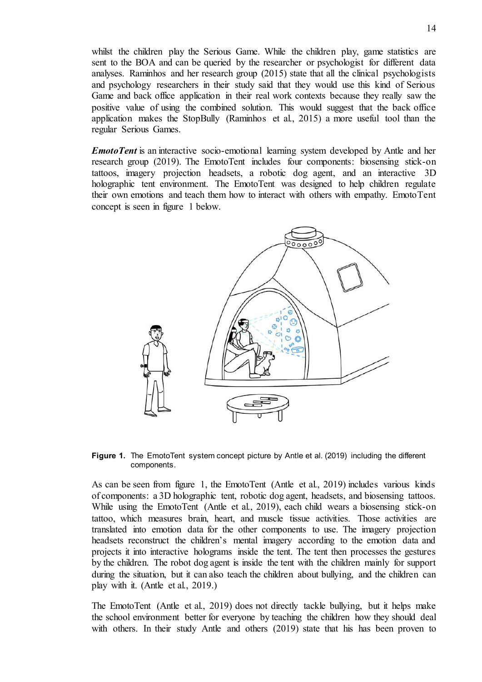whilst the children play the Serious Game. While the children play, game statistics are sent to the BOA and can be queried by the researcher or psychologist for different data analyses. Raminhos and her research group (2015) state that all the clinical psychologists and psychology researchers in their study said that they would use this kind of Serious Game and back office application in their real work contexts because they really saw the positive value of using the combined solution. This would suggest that the back office application makes the StopBully (Raminhos et al., 2015) a more useful tool than the regular Serious Games.

*EmotoTent* is an interactive socio-emotional learning system developed by Antle and her research group (2019). The EmotoTent includes four components: biosensing stick-on tattoos, imagery projection headsets, a robotic dog agent, and an interactive 3D holographic tent environment. The EmotoTent was designed to help children regulate their own emotions and teach them how to interact with others with empathy. EmotoTent concept is seen in figure 1 below.



**Figure 1.** The EmotoTent system concept picture by Antle et al. (2019) including the different components.

As can be seen from figure 1, the EmotoTent (Antle et al., 2019) includes various kinds of components: a 3D holographic tent, robotic dog agent, headsets, and biosensing tattoos. While using the EmotoTent (Antle et al., 2019), each child wears a biosensing stick-on tattoo, which measures brain, heart, and muscle tissue activities. Those activities are translated into emotion data for the other components to use. The imagery projection headsets reconstruct the children's mental imagery according to the emotion data and projects it into interactive holograms inside the tent. The tent then processes the gestures by the children. The robot dog agent is inside the tent with the children mainly for support during the situation, but it can also teach the children about bullying, and the children can play with it. (Antle et al., 2019.)

The EmotoTent (Antle et al., 2019) does not directly tackle bullying, but it helps make the school environment better for everyone by teaching the children how they should deal with others. In their study Antle and others (2019) state that his has been proven to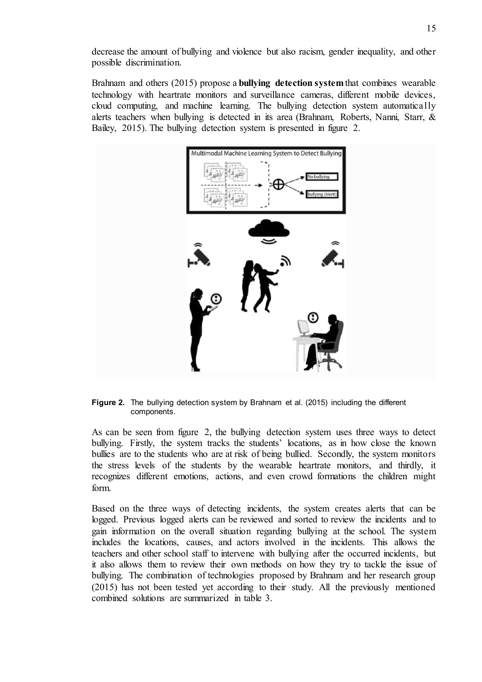decrease the amount of bullying and violence but also racism, gender inequality, and other possible discrimination.

Brahnam and others (2015) propose a **bullying detection system**that combines wearable technology with heartrate monitors and surveillance cameras, different mobile devices, cloud computing, and machine learning. The bullying detection system automatically alerts teachers when bullying is detected in its area (Brahnam, Roberts, Nanni, Starr, & Bailey, 2015). The bullying detection system is presented in figure 2.



**Figure 2.** The bullying detection system by Brahnam et al. (2015) including the different components.

As can be seen from figure 2, the bullying detection system uses three ways to detect bullying. Firstly, the system tracks the students' locations, as in how close the known bullies are to the students who are at risk of being bullied. Secondly, the system monitors the stress levels of the students by the wearable heartrate monitors, and thirdly, it recognizes different emotions, actions, and even crowd formations the children might form.

Based on the three ways of detecting incidents, the system creates alerts that can be logged. Previous logged alerts can be reviewed and sorted to review the incidents and to gain information on the overall situation regarding bullying at the school. The system includes the locations, causes, and actors involved in the incidents. This allows the teachers and other school staff to intervene with bullying after the occurred incidents, but it also allows them to review their own methods on how they try to tackle the issue of bullying. The combination of technologies proposed by Brahnam and her research group (2015) has not been tested yet according to their study. All the previously mentioned combined solutions are summarized in table 3.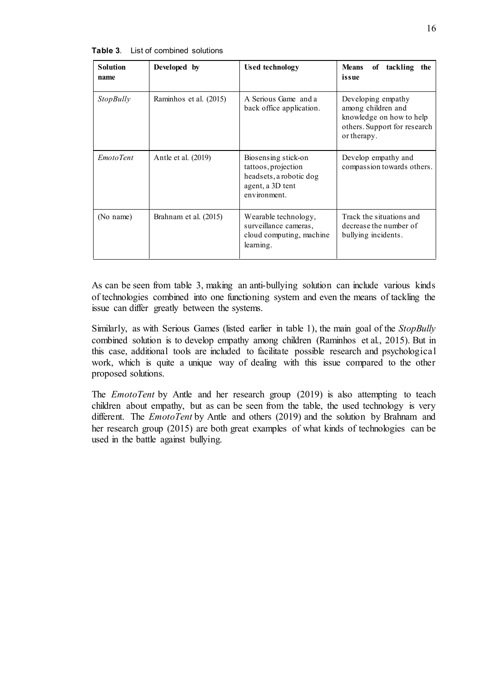| List of combined solutions<br>Table 3. |  |
|----------------------------------------|--|
|----------------------------------------|--|

| <b>Solution</b><br>name | Developed by           | <b>Used technology</b>                                                                                    | <b>Means</b><br>tackling<br>of<br>the<br>issue                                                                      |  |  |
|-------------------------|------------------------|-----------------------------------------------------------------------------------------------------------|---------------------------------------------------------------------------------------------------------------------|--|--|
| StopBully               | Raminhos et al. (2015) | A Serious Game and a<br>back office application.                                                          | Developing empathy<br>among children and<br>knowledge on how to help<br>others. Support for research<br>or therapy. |  |  |
| EmotoTent               | Antle et al. (2019)    | Biosensing stick-on<br>tattoos, projection<br>headsets, a robotic dog<br>agent, a 3D tent<br>environment. | Develop empathy and<br>compassion towards others.                                                                   |  |  |
| (No name)               | Brahnam et al. (2015)  | Wearable technology,<br>surveillance cameras,<br>cloud computing, machine<br>learning.                    | Track the situations and<br>decrease the number of<br>bullying incidents.                                           |  |  |

As can be seen from table 3, making an anti-bullying solution can include various kinds of technologies combined into one functioning system and even the means of tackling the issue can differ greatly between the systems.

Similarly, as with Serious Games (listed earlier in table 1), the main goal of the *StopBully* combined solution is to develop empathy among children (Raminhos et al., 2015). But in this case, additional tools are included to facilitate possible research and psychological work, which is quite a unique way of dealing with this issue compared to the other proposed solutions.

The *EmotoTent* by Antle and her research group (2019) is also attempting to teach children about empathy, but as can be seen from the table, the used technology is very different. The *EmotoTent* by Antle and others (2019) and the solution by Brahnam and her research group (2015) are both great examples of what kinds of technologies can be used in the battle against bullying.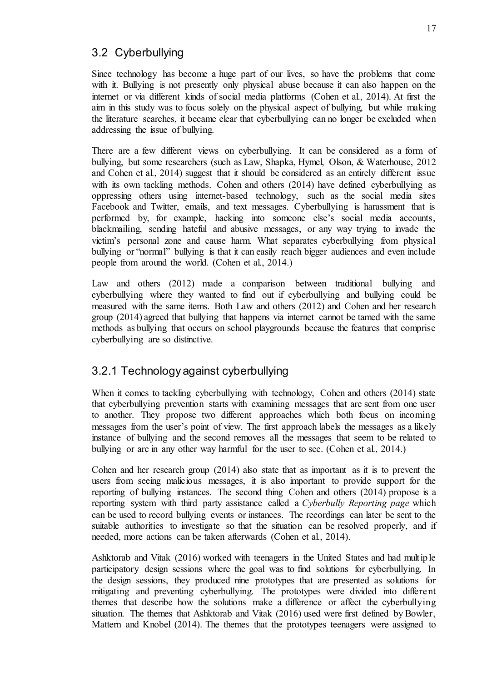### 3.2 Cyberbullying

Since technology has become a huge part of our lives, so have the problems that come with it. Bullying is not presently only physical abuse because it can also happen on the internet or via different kinds of social media platforms (Cohen et al., 2014). At first the aim in this study was to focus solely on the physical aspect of bullying, but while making the literature searches, it became clear that cyberbullying can no longer be excluded when addressing the issue of bullying.

There are a few different views on cyberbullying. It can be considered as a form of bullying, but some researchers (such as Law, Shapka, Hymel, Olson, & Waterhouse, 2012 and Cohen et al., 2014) suggest that it should be considered as an entirely different issue with its own tackling methods. Cohen and others (2014) have defined cyberbullying as oppressing others using internet-based technology, such as the social media sites Facebook and Twitter, emails, and text messages. Cyberbullying is harassment that is performed by, for example, hacking into someone else's social media accounts, blackmailing, sending hateful and abusive messages, or any way trying to invade the victim's personal zone and cause harm. What separates cyberbullying from physical bullying or "normal" bullying is that it can easily reach bigger audiences and even include people from around the world. (Cohen et al., 2014.)

Law and others (2012) made a comparison between traditional bullying and cyberbullying where they wanted to find out if cyberbullying and bullying could be measured with the same items. Both Law and others (2012) and Cohen and her research group (2014) agreed that bullying that happens via internet cannot be tamed with the same methods as bullying that occurs on school playgrounds because the features that comprise cyberbullying are so distinctive.

### 3.2.1 Technology against cyberbullying

When it comes to tackling cyberbullying with technology, Cohen and others (2014) state that cyberbullying prevention starts with examining messages that are sent from one user to another. They propose two different approaches which both focus on incoming messages from the user's point of view. The first approach labels the messages as a likely instance of bullying and the second removes all the messages that seem to be related to bullying or are in any other way harmful for the user to see. (Cohen et al., 2014.)

Cohen and her research group (2014) also state that as important as it is to prevent the users from seeing malicious messages, it is also important to provide support for the reporting of bullying instances. The second thing Cohen and others (2014) propose is a reporting system with third party assistance called a *Cyberbully Reporting page* which can be used to record bullying events or instances. The recordings can later be sent to the suitable authorities to investigate so that the situation can be resolved properly, and if needed, more actions can be taken afterwards (Cohen et al., 2014).

Ashktorab and Vitak (2016) worked with teenagers in the United States and had multiple participatory design sessions where the goal was to find solutions for cyberbullying. In the design sessions, they produced nine prototypes that are presented as solutions for mitigating and preventing cyberbullying. The prototypes were divided into different themes that describe how the solutions make a difference or affect the cyberbullying situation. The themes that Ashktorab and Vitak (2016) used were first defined by Bowler, Mattern and Knobel (2014). The themes that the prototypes teenagers were assigned to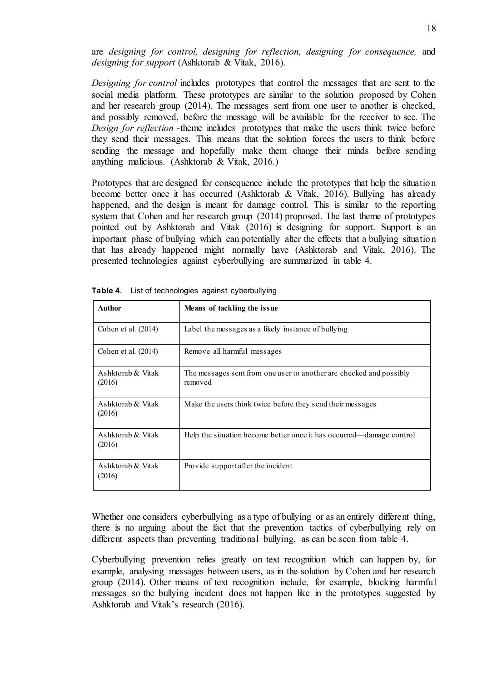are *designing for control, designing for reflection, designing for consequence,* and *designing for support* (Ashktorab & Vitak, 2016).

*Designing for control* includes prototypes that control the messages that are sent to the social media platform. These prototypes are similar to the solution proposed by Cohen and her research group (2014). The messages sent from one user to another is checked, and possibly removed, before the message will be available for the receiver to see. The *Design for reflection* -theme includes prototypes that make the users think twice before they send their messages. This means that the solution forces the users to think before sending the message and hopefully make them change their minds before sending anything malicious. (Ashktorab & Vitak, 2016.)

Prototypes that are designed for consequence include the prototypes that help the situation become better once it has occurred (Ashktorab & Vitak, 2016). Bullying has already happened, and the design is meant for damage control. This is similar to the reporting system that Cohen and her research group (2014) proposed. The last theme of prototypes pointed out by Ashktorab and Vitak (2016) is designing for support. Support is an important phase of bullying which can potentially alter the effects that a bullying situation that has already happened might normally have (Ashktorab and Vitak, 2016). The presented technologies against cyberbullying are summarized in table 4.

| <b>Author</b>               | Means of tackling the issue.                                                   |
|-----------------------------|--------------------------------------------------------------------------------|
| Cohen et al. (2014)         | Label the messages as a likely instance of bullying                            |
| Cohen et al. (2014)         | Remove all harmful messages                                                    |
| Ashktorab & Vitak<br>(2016) | The messages sent from one user to another are checked and possibly<br>removed |
| Ashktorab & Vitak<br>(2016) | Make the users think twice before they send their messages                     |
| Ashktorab & Vitak<br>(2016) | Help the situation become better once it has occurred—damage control           |
| Ashktorab & Vitak<br>(2016) | Provide support after the incident                                             |

**Table 4**. List of technologies against cyberbullying

Whether one considers cyberbullying as a type of bullying or as an entirely different thing, there is no arguing about the fact that the prevention tactics of cyberbullying rely on different aspects than preventing traditional bullying, as can be seen from table 4.

Cyberbullying prevention relies greatly on text recognition which can happen by, for example, analysing messages between users, as in the solution by Cohen and her research group (2014). Other means of text recognition include, for example, blocking harmful messages so the bullying incident does not happen like in the prototypes suggested by Ashktorab and Vitak's research (2016).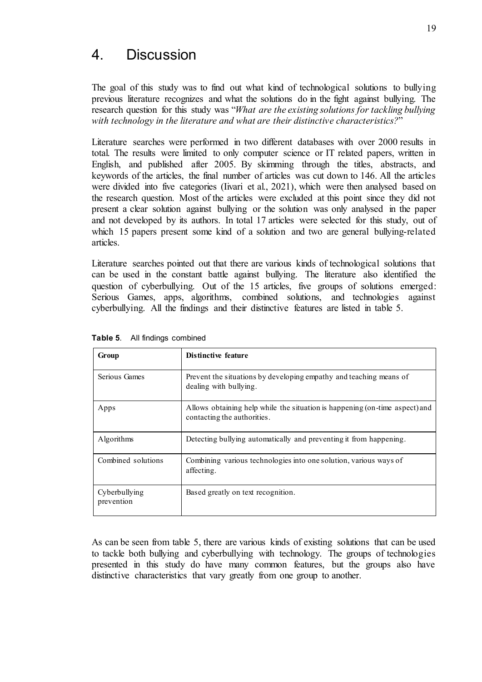## 4. Discussion

The goal of this study was to find out what kind of technological solutions to bullying previous literature recognizes and what the solutions do in the fight against bullying. The research question for this study was "*What are the existing solutions for tackling bullying with technology in the literature and what are their distinctive characteristics?*"

Literature searches were performed in two different databases with over 2000 results in total. The results were limited to only computer science or IT related papers, written in English, and published after 2005. By skimming through the titles, abstracts, and keywords of the articles, the final number of articles was cut down to 146. All the articles were divided into five categories (Iivari et al., 2021), which were then analysed based on the research question. Most of the articles were excluded at this point since they did not present a clear solution against bullying or the solution was only analysed in the paper and not developed by its authors. In total 17 articles were selected for this study, out of which 15 papers present some kind of a solution and two are general bullying-related articles.

Literature searches pointed out that there are various kinds of technological solutions that can be used in the constant battle against bullying. The literature also identified the question of cyberbullying. Out of the 15 articles, five groups of solutions emerged: Serious Games, apps, algorithms, combined solutions, and technologies against cyberbullying. All the findings and their distinctive features are listed in table 5.

| Group                       | Distinctive feature                                                                                        |
|-----------------------------|------------------------------------------------------------------------------------------------------------|
| Serious Games               | Prevent the situations by developing empathy and teaching means of<br>dealing with bullying.               |
| Apps                        | Allows obtaining help while the situation is happening (on-time aspect) and<br>contacting the authorities. |
| Algorithms                  | Detecting bullying automatically and preventing it from happening.                                         |
| Combined solutions          | Combining various technologies into one solution, various ways of<br>affecting.                            |
| Cyberbullying<br>prevention | Based greatly on text recognition.                                                                         |

**Table 5**. All findings combined

As can be seen from table 5, there are various kinds of existing solutions that can be used to tackle both bullying and cyberbullying with technology. The groups of technologies presented in this study do have many common features, but the groups also have distinctive characteristics that vary greatly from one group to another.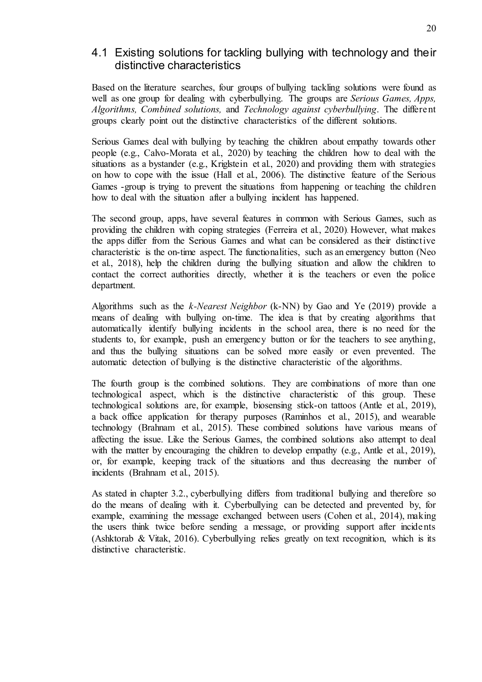### 4.1 Existing solutions for tackling bullying with technology and their distinctive characteristics

Based on the literature searches, four groups of bullying tackling solutions were found as well as one group for dealing with cyberbullying. The groups are *Serious Games, Apps, Algorithms, Combined solutions,* and *Technology against cyberbullying*. The different groups clearly point out the distinctive characteristics of the different solutions.

Serious Games deal with bullying by teaching the children about empathy towards other people (e.g., Calvo-Morata et al., 2020) by teaching the children how to deal with the situations as a bystander (e.g., Kriglstein et al., 2020) and providing them with strategies on how to cope with the issue (Hall et al., 2006). The distinctive feature of the Serious Games -group is trying to prevent the situations from happening or teaching the children how to deal with the situation after a bullying incident has happened.

The second group, apps, have several features in common with Serious Games, such as providing the children with coping strategies (Ferreira et al., 2020). However, what makes the apps differ from the Serious Games and what can be considered as their distinctive characteristic is the on-time aspect. The functionalities, such as an emergency button (Neo et al., 2018), help the children during the bullying situation and allow the children to contact the correct authorities directly, whether it is the teachers or even the police department.

Algorithms such as the *k-Nearest Neighbor* (k-NN) by Gao and Ye (2019) provide a means of dealing with bullying on-time. The idea is that by creating algorithms that automatically identify bullying incidents in the school area, there is no need for the students to, for example, push an emergency button or for the teachers to see anything, and thus the bullying situations can be solved more easily or even prevented. The automatic detection of bullying is the distinctive characteristic of the algorithms.

The fourth group is the combined solutions. They are combinations of more than one technological aspect, which is the distinctive characteristic of this group. These technological solutions are, for example, biosensing stick-on tattoos (Antle et al., 2019), a back office application for therapy purposes (Raminhos et al., 2015), and wearable technology (Brahnam et al., 2015). These combined solutions have various means of affecting the issue. Like the Serious Games, the combined solutions also attempt to deal with the matter by encouraging the children to develop empathy (e.g., Antle et al., 2019), or, for example, keeping track of the situations and thus decreasing the number of incidents (Brahnam et al., 2015).

As stated in chapter 3.2., cyberbullying differs from traditional bullying and therefore so do the means of dealing with it. Cyberbullying can be detected and prevented by, for example, examining the message exchanged between users (Cohen et al., 2014), making the users think twice before sending a message, or providing support after incidents (Ashktorab & Vitak, 2016). Cyberbullying relies greatly on text recognition, which is its distinctive characteristic.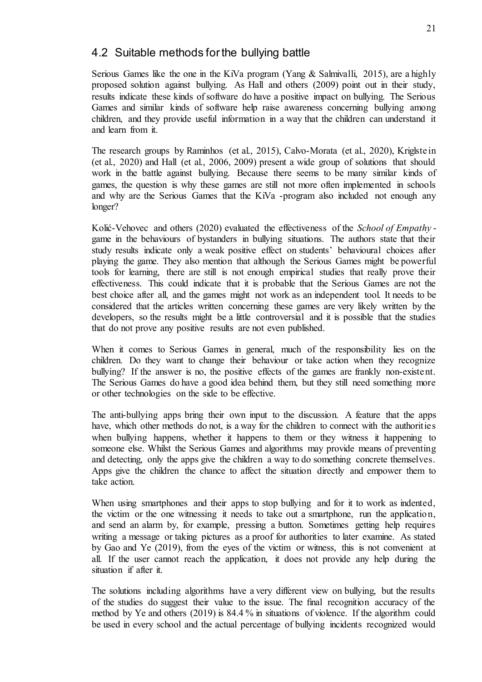### 4.2 Suitable methods for the bullying battle

Serious Games like the one in the KiVa program (Yang & Salmivalli, 2015), are a highly proposed solution against bullying. As Hall and others (2009) point out in their study, results indicate these kinds of software do have a positive impact on bullying. The Serious Games and similar kinds of software help raise awareness concerning bullying among children, and they provide useful information in a way that the children can understand it and learn from it.

The research groups by Raminhos (et al., 2015), Calvo-Morata (et al., 2020), Kriglstein (et al., 2020) and Hall (et al., 2006, 2009) present a wide group of solutions that should work in the battle against bullying. Because there seems to be many similar kinds of games, the question is why these games are still not more often implemented in schools and why are the Serious Games that the KiVa -program also included not enough any longer?

Kolić-Vehovec and others (2020) evaluated the effectiveness of the *School of Empathy* game in the behaviours of bystanders in bullying situations. The authors state that their study results indicate only a weak positive effect on students' behavioural choices after playing the game. They also mention that although the Serious Games might be powerful tools for learning, there are still is not enough empirical studies that really prove their effectiveness. This could indicate that it is probable that the Serious Games are not the best choice after all, and the games might not work as an independent tool. It needs to be considered that the articles written concerning these games are very likely written by the developers, so the results might be a little controversial and it is possible that the studies that do not prove any positive results are not even published.

When it comes to Serious Games in general, much of the responsibility lies on the children. Do they want to change their behaviour or take action when they recognize bullying? If the answer is no, the positive effects of the games are frankly non-existent. The Serious Games do have a good idea behind them, but they still need something more or other technologies on the side to be effective.

The anti-bullying apps bring their own input to the discussion. A feature that the apps have, which other methods do not, is a way for the children to connect with the authorities when bullying happens, whether it happens to them or they witness it happening to someone else. Whilst the Serious Games and algorithms may provide means of preventing and detecting, only the apps give the children a way to do something concrete themselves. Apps give the children the chance to affect the situation directly and empower them to take action.

When using smartphones and their apps to stop bullying and for it to work as indented, the victim or the one witnessing it needs to take out a smartphone, run the application, and send an alarm by, for example, pressing a button. Sometimes getting help requires writing a message or taking pictures as a proof for authorities to later examine. As stated by Gao and Ye (2019), from the eyes of the victim or witness, this is not convenient at all. If the user cannot reach the application, it does not provide any help during the situation if after it.

The solutions including algorithms have a very different view on bullying, but the results of the studies do suggest their value to the issue. The final recognition accuracy of the method by Ye and others (2019) is 84.4 % in situations of violence. If the algorithm could be used in every school and the actual percentage of bullying incidents recognized would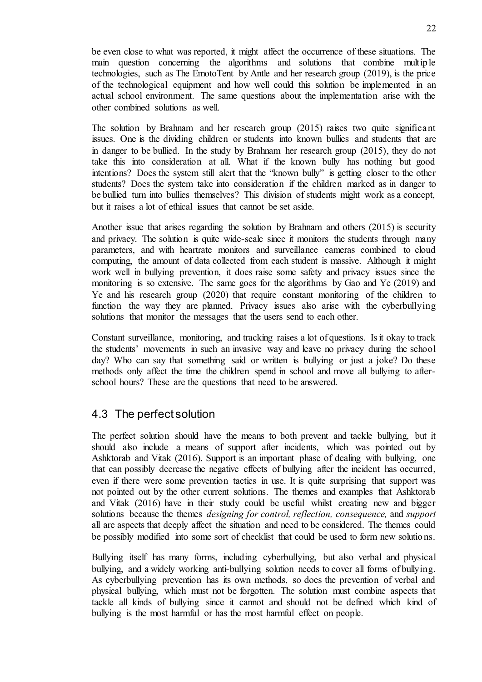be even close to what was reported, it might affect the occurrence of these situations. The main question concerning the algorithms and solutions that combine multiple technologies, such as The EmotoTent by Antle and her research group (2019), is the price of the technological equipment and how well could this solution be implemented in an actual school environment. The same questions about the implementation arise with the other combined solutions as well.

The solution by Brahnam and her research group (2015) raises two quite significant issues. One is the dividing children or students into known bullies and students that are in danger to be bullied. In the study by Brahnam her research group (2015), they do not take this into consideration at all. What if the known bully has nothing but good intentions? Does the system still alert that the "known bully" is getting closer to the other students? Does the system take into consideration if the children marked as in danger to be bullied turn into bullies themselves? This division of students might work as a concept, but it raises a lot of ethical issues that cannot be set aside.

Another issue that arises regarding the solution by Brahnam and others (2015) is security and privacy. The solution is quite wide-scale since it monitors the students through many parameters, and with heartrate monitors and surveillance cameras combined to cloud computing, the amount of data collected from each student is massive. Although it might work well in bullying prevention, it does raise some safety and privacy issues since the monitoring is so extensive. The same goes for the algorithms by Gao and Ye (2019) and Ye and his research group (2020) that require constant monitoring of the children to function the way they are planned. Privacy issues also arise with the cyberbullying solutions that monitor the messages that the users send to each other.

Constant surveillance, monitoring, and tracking raises a lot of questions. Is it okay to track the students' movements in such an invasive way and leave no privacy during the school day? Who can say that something said or written is bullying or just a joke? Do these methods only affect the time the children spend in school and move all bullying to afterschool hours? These are the questions that need to be answered.

### 4.3 The perfect solution

The perfect solution should have the means to both prevent and tackle bullying, but it should also include a means of support after incidents, which was pointed out by Ashktorab and Vitak (2016). Support is an important phase of dealing with bullying, one that can possibly decrease the negative effects of bullying after the incident has occurred, even if there were some prevention tactics in use. It is quite surprising that support was not pointed out by the other current solutions. The themes and examples that Ashktorab and Vitak (2016) have in their study could be useful whilst creating new and bigger solutions because the themes *designing for control, reflection, consequence,* and *support*  all are aspects that deeply affect the situation and need to be considered. The themes could be possibly modified into some sort of checklist that could be used to form new solutions.

Bullying itself has many forms, including cyberbullying, but also verbal and physical bullying, and a widely working anti-bullying solution needs to cover all forms of bullying. As cyberbullying prevention has its own methods, so does the prevention of verbal and physical bullying, which must not be forgotten. The solution must combine aspects that tackle all kinds of bullying since it cannot and should not be defined which kind of bullying is the most harmful or has the most harmful effect on people.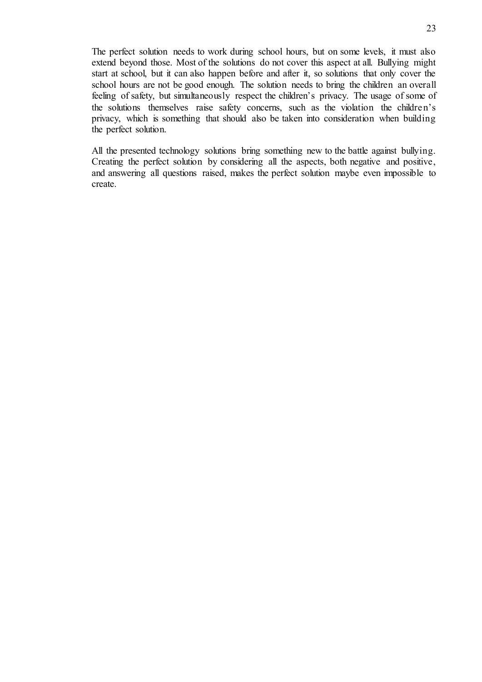The perfect solution needs to work during school hours, but on some levels, it must also extend beyond those. Most of the solutions do not cover this aspect at all. Bullying might start at school, but it can also happen before and after it, so solutions that only cover the school hours are not be good enough. The solution needs to bring the children an overall feeling of safety, but simultaneously respect the children's privacy. The usage of some of the solutions themselves raise safety concerns, such as the violation the children's privacy, which is something that should also be taken into consideration when building the perfect solution.

All the presented technology solutions bring something new to the battle against bullying. Creating the perfect solution by considering all the aspects, both negative and positive, and answering all questions raised, makes the perfect solution maybe even impossible to create.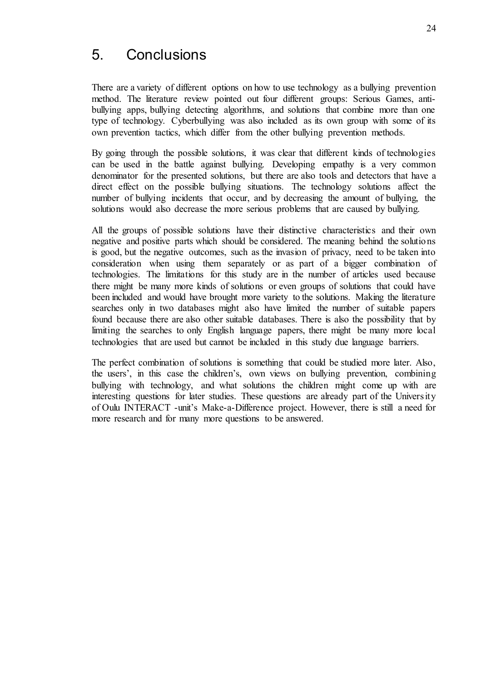## 5. Conclusions

There are a variety of different options on how to use technology as a bullying prevention method. The literature review pointed out four different groups: Serious Games, antibullying apps, bullying detecting algorithms, and solutions that combine more than one type of technology. Cyberbullying was also included as its own group with some of its own prevention tactics, which differ from the other bullying prevention methods.

By going through the possible solutions, it was clear that different kinds of technologies can be used in the battle against bullying. Developing empathy is a very common denominator for the presented solutions, but there are also tools and detectors that have a direct effect on the possible bullying situations. The technology solutions affect the number of bullying incidents that occur, and by decreasing the amount of bullying, the solutions would also decrease the more serious problems that are caused by bullying.

All the groups of possible solutions have their distinctive characteristics and their own negative and positive parts which should be considered. The meaning behind the solutions is good, but the negative outcomes, such as the invasion of privacy, need to be taken into consideration when using them separately or as part of a bigger combination of technologies. The limitations for this study are in the number of articles used because there might be many more kinds of solutions or even groups of solutions that could have been included and would have brought more variety to the solutions. Making the literature searches only in two databases might also have limited the number of suitable papers found because there are also other suitable databases. There is also the possibility that by limiting the searches to only English language papers, there might be many more local technologies that are used but cannot be included in this study due language barriers.

The perfect combination of solutions is something that could be studied more later. Also, the users', in this case the children's, own views on bullying prevention, combining bullying with technology, and what solutions the children might come up with are interesting questions for later studies. These questions are already part of the University of Oulu INTERACT -unit's Make-a-Difference project. However, there is still a need for more research and for many more questions to be answered.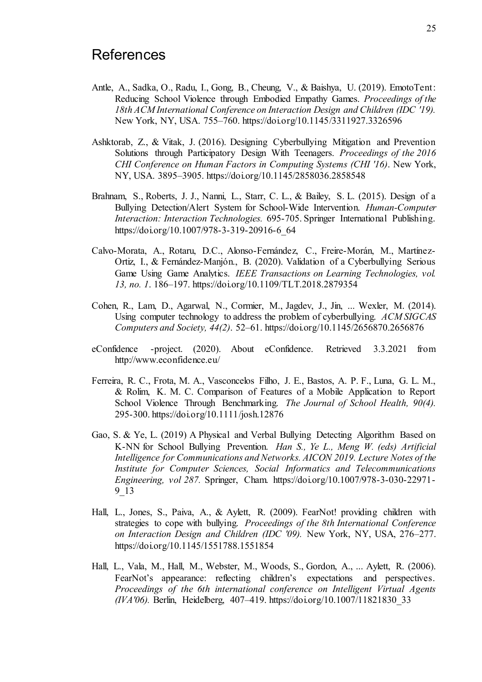## **References**

- Antle, A., Sadka, O., Radu, I., Gong, B., Cheung, V., & Baishya, U. (2019). EmotoTent: Reducing School Violence through Embodied Empathy Games. *Proceedings of the 18th ACM International Conference on Interaction Design and Children (IDC '19).* New York, NY, USA. 755–760. https://doi.org/10.1145/3311927.3326596
- Ashktorab, Z., & Vitak, J. (2016). Designing Cyberbullying Mitigation and Prevention Solutions through Participatory Design With Teenagers. *Proceedings of the 2016 CHI Conference on Human Factors in Computing Systems (CHI '16)*. New York, NY, USA. 3895–3905. https://doi.org/10.1145/2858036.2858548
- Brahnam, S., Roberts, J. J., Nanni, L., Starr, C. L., & Bailey, S. L. (2015). Design of a Bullying Detection/Alert System for School-Wide Intervention. *Human-Computer Interaction: Interaction Technologies.* 695-705. Springer International Publishing. https://doi.org/10.1007/978-3-319-20916-6\_64
- Calvo-Morata, A., Rotaru, D.C., Alonso-Fernández, C., Freire-Morán, M., Martínez-Ortiz, I., & Fernández-Manjón., B. (2020). Validation of a Cyberbullying Serious Game Using Game Analytics. *IEEE Transactions on Learning Technologies, vol. 13, no. 1*. 186–197. https://doi.org/10.1109/TLT.2018.2879354
- Cohen, R., Lam, D., Agarwal, N., Cormier, M., Jagdev, J., Jin, ... Wexler, M. (2014). Using computer technology to address the problem of cyberbullying. *ACM SIGCAS Computers and Society, 44(2)*. 52–61. https://doi.org/10.1145/2656870.2656876
- eConfidence -project. (2020). About eConfidence. Retrieved 3.3.2021 from http://www.econfidence.eu/
- Ferreira, R. C., Frota, M. A., Vasconcelos Filho, J. E., Bastos, A. P. F., Luna, G. L. M., & Rolim, K. M. C. Comparison of Features of a Mobile Application to Report School Violence Through Benchmarking. *The Journal of School Health, 90(4).*  295-300. https://doi.org/10.1111/josh.12876
- Gao, S. & Ye, L. (2019) A Physical and Verbal Bullying Detecting Algorithm Based on K-NN for School Bullying Prevention. *Han S., Ye L., Meng W. (eds) Artificial Intelligence for Communications and Networks. AICON 2019. Lecture Notes of the Institute for Computer Sciences, Social Informatics and Telecommunications Engineering, vol 287.* Springer, Cham. https://doi.org/10.1007/978-3-030-22971- 9\_13
- Hall, L., Jones, S., Paiva, A., & Aylett, R. (2009). FearNot! providing children with strategies to cope with bullying. *Proceedings of the 8th International Conference on Interaction Design and Children (IDC '09).* New York, NY, USA, 276–277. https://doi.org/10.1145/1551788.1551854
- Hall, L., Vala, M., Hall, M., Webster, M., Woods, S., Gordon, A., ... Aylett, R. (2006). FearNot's appearance: reflecting children's expectations and perspectives. *Proceedings of the 6th international conference on Intelligent Virtual Agents (IVA'06).* Berlin, Heidelberg, 407–419. https://doi.org/10.1007/11821830\_33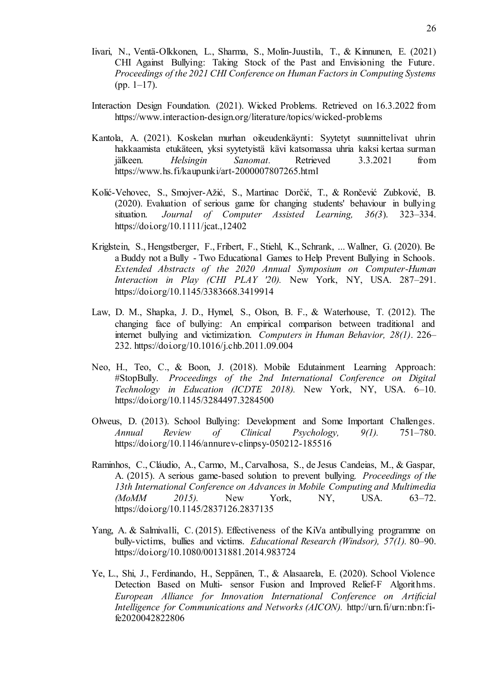- Iivari, N., Ventä-Olkkonen, L., Sharma, S., Molin-Juustila, T., & Kinnunen, E. (2021) CHI Against Bullying: Taking Stock of the Past and Envisioning the Future. *Proceedings of the 2021 CHI Conference on Human Factors in Computing Systems*  $(pp. 1-17)$ .
- Interaction Design Foundation. (2021). Wicked Problems. Retrieved on 16.3.2022 from https://www.interaction-design.org/literature/topics/wicked-problems
- Kantola, A. (2021). Koskelan murhan oikeudenkäynti: Syytetyt suunnittelivat uhrin hakkaamista etukäteen, yksi syytetyistä kävi katsomassa uhria kaksi kertaa surman jälkeen. *Helsingin Sanomat.* Retrieved 3.3.2021 from https://www.hs.fi/kaupunki/art-2000007807265.html
- Kolić-Vehovec, S., Smojver-Ažić, S., Martinac Dorčić, T., & Rončević Zubković, B. (2020). Evaluation of serious game for changing students' behaviour in bullying situation. *Journal of Computer Assisted Learning, 36(3*). 323–334. https://doi.org/10.1111/jcat.,12402
- Kriglstein, S., Hengstberger, F., Fribert, F., Stiehl, K., Schrank, ... Wallner, G. (2020). Be a Buddy not a Bully - Two Educational Games to Help Prevent Bullying in Schools. *Extended Abstracts of the 2020 Annual Symposium on Computer-Human Interaction in Play (CHI PLAY '20).* New York, NY, USA. 287–291. https://doi.org/10.1145/3383668.3419914
- Law, D. M., Shapka, J. D., Hymel, S., Olson, B. F., & Waterhouse, T. (2012). The changing face of bullying: An empirical comparison between traditional and internet bullying and victimization. *Computers in Human Behavior, 28(1)*. 226– 232. https://doi.org/10.1016/j.chb.2011.09.004
- Neo, H., Teo, C., & Boon, J. (2018). Mobile Edutainment Learning Approach: #StopBully. *Proceedings of the 2nd International Conference on Digital Technology in Education (ICDTE 2018).* New York, NY, USA. 6–10. https://doi.org/10.1145/3284497.3284500
- Olweus, D. (2013). School Bullying: Development and Some Important Challenges. *Annual Review of Clinical Psychology, 9(1).* 751–780. https://doi.org/10.1146/annurev-clinpsy-050212-185516
- Raminhos, C., Cláudio, A., Carmo, M., Carvalhosa, S., de Jesus Candeias, M., & Gaspar, A. (2015). A serious game-based solution to prevent bullying. *Proceedings of the 13th International Conference on Advances in Mobile Computing and Multimedia (MoMM 2015).* New York, NY, USA. 63–72. https://doi.org/10.1145/2837126.2837135
- Yang, A. & Salmivalli, C. (2015). Effectiveness of the KiVa antibullying programme on bully-victims, bullies and victims. *Educational Research (Windsor), 57(1).* 80–90. https://doi.org/10.1080/00131881.2014.983724
- Ye, L., Shi, J., Ferdinando, H., Seppänen, T., & Alasaarela, E. (2020). School Violence Detection Based on Multi- sensor Fusion and Improved Relief-F Algorithms. *European Alliance for Innovation International Conference on Artificial Intelligence for Communications and Networks (AICON).* http://urn.fi/urn:nbn:fife2020042822806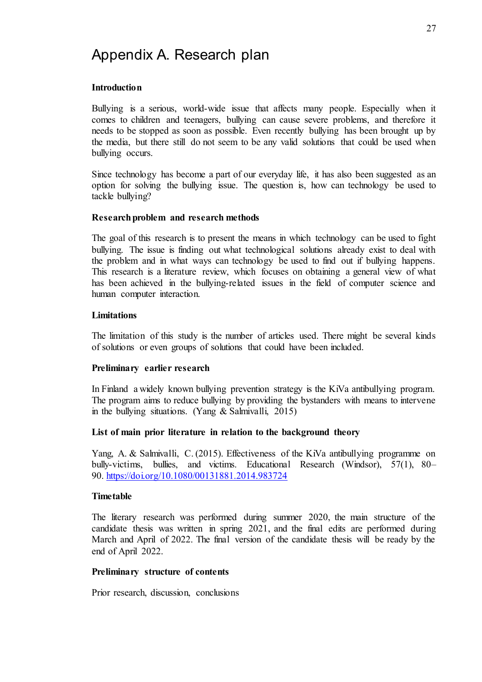## Appendix A. Research plan

#### **Introduction**

Bullying is a serious, world-wide issue that affects many people. Especially when it comes to children and teenagers, bullying can cause severe problems, and therefore it needs to be stopped as soon as possible. Even recently bullying has been brought up by the media, but there still do not seem to be any valid solutions that could be used when bullying occurs.

Since technology has become a part of our everyday life, it has also been suggested as an option for solving the bullying issue. The question is, how can technology be used to tackle bullying?

#### **Research problem and research methods**

The goal of this research is to present the means in which technology can be used to fight bullying. The issue is finding out what technological solutions already exist to deal with the problem and in what ways can technology be used to find out if bullying happens. This research is a literature review, which focuses on obtaining a general view of what has been achieved in the bullying-related issues in the field of computer science and human computer interaction.

#### **Limitations**

The limitation of this study is the number of articles used. There might be several kinds of solutions or even groups of solutions that could have been included.

#### **Preliminary earlier research**

In Finland a widely known bullying prevention strategy is the KiVa antibullying program. The program aims to reduce bullying by providing the bystanders with means to intervene in the bullying situations. (Yang & Salmivalli, 2015)

#### **List of main prior literature in relation to the background theory**

Yang, A. & Salmivalli, C. (2015). Effectiveness of the KiVa antibullying programme on bully-victims, bullies, and victims. Educational Research (Windsor), 57(1), 80– 90. <https://doi.org/10.1080/00131881.2014.983724>

#### **Timetable**

The literary research was performed during summer 2020, the main structure of the candidate thesis was written in spring 2021, and the final edits are performed during March and April of 2022. The final version of the candidate thesis will be ready by the end of April 2022.

#### **Preliminary structure of contents**

Prior research, discussion, conclusions